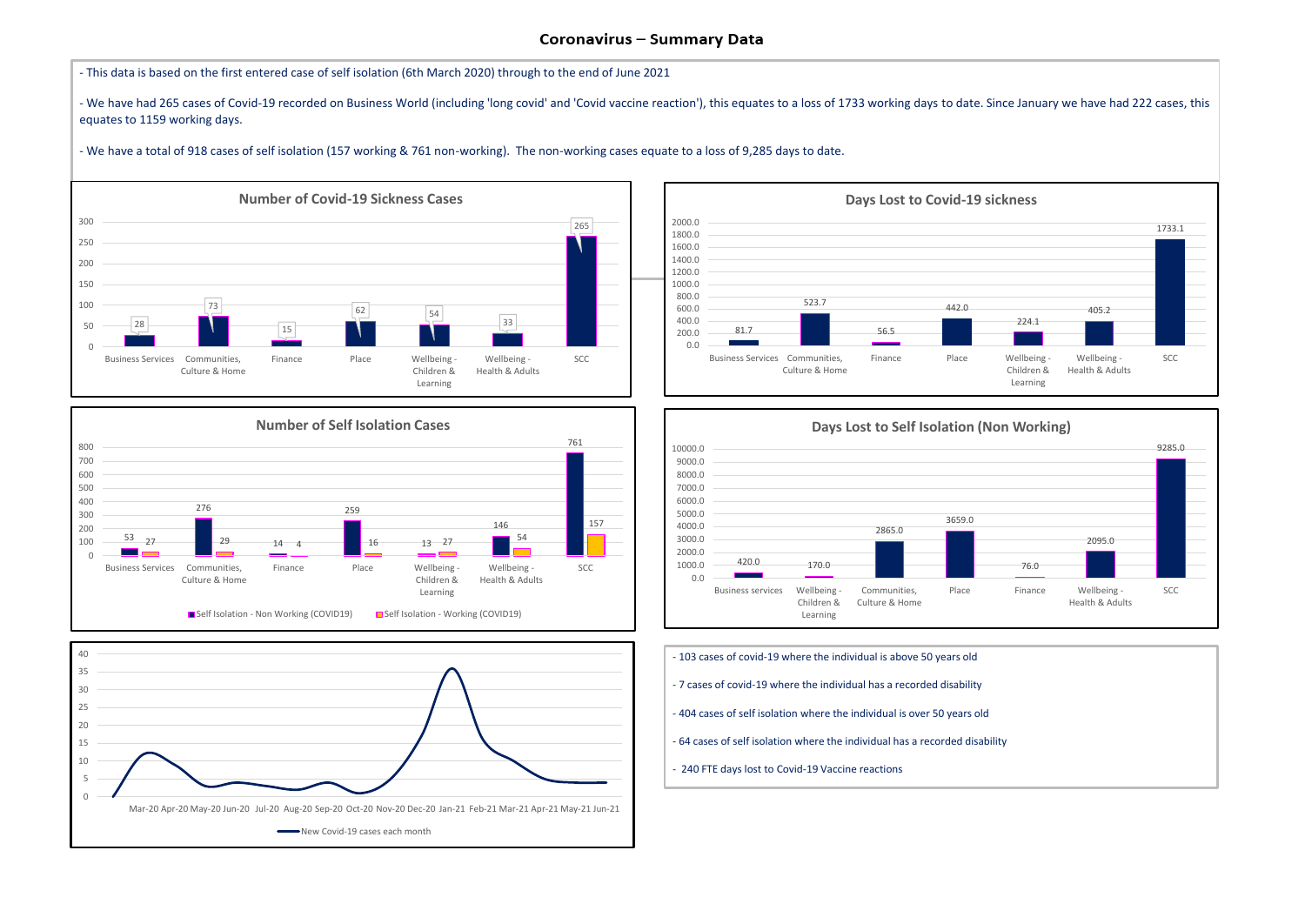



- We have had 265 cases of Covid-19 recorded on Business World (including 'long covid' and 'Covid vaccine reaction'), this equates to a loss of 1733 working days to date. Since January we have had 222 cases, this equates to 1159 working days.

- This data is based on the first entered case of self isolation (6th March 2020) through to the end of June 2021

- We have a total of 918 cases of self isolation (157 working & 761 non-working). The non-working cases equate to a loss of 9,285 days to date.





- 103 cases of covid-19 where the individual is above 50 years old
- 7 cases of covid-19 where the individual has a recorded disability
- 404 cases of self isolation where the individual is over 50 years old
- 64 cases of self isolation where the individual has a recorded disability
- 240 FTE days lost to Covid-19 Vaccine reactions